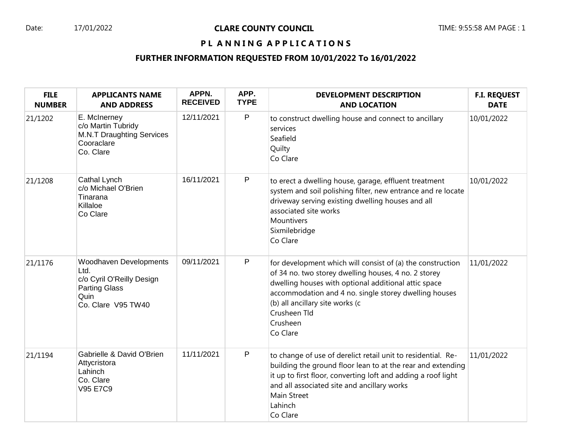## Date: 17/01/2022 **CLARE COUNTY COUNCIL** Date: 1 TIME: 9:55:58 AM PAGE : 1

## PL ANNING APPLICATIONS

## **FURTHER INFORMATION REQUESTED FROM 10/01/2022 To 16/01/2022**

| <b>FILE</b><br><b>NUMBER</b> | <b>APPLICANTS NAME</b><br><b>AND ADDRESS</b>                                                                      | APPN.<br><b>RECEIVED</b> | APP.<br><b>TYPE</b> | <b>DEVELOPMENT DESCRIPTION</b><br><b>AND LOCATION</b>                                                                                                                                                                                                                                                          | <b>F.I. REQUEST</b><br><b>DATE</b> |
|------------------------------|-------------------------------------------------------------------------------------------------------------------|--------------------------|---------------------|----------------------------------------------------------------------------------------------------------------------------------------------------------------------------------------------------------------------------------------------------------------------------------------------------------------|------------------------------------|
| 21/1202                      | E. McInerney<br>c/o Martin Tubridy<br><b>M.N.T Draughting Services</b><br>Cooraclare<br>Co. Clare                 | 12/11/2021               | P                   | to construct dwelling house and connect to ancillary<br>services<br>Seafield<br>Quilty<br>Co Clare                                                                                                                                                                                                             | 10/01/2022                         |
| 21/1208                      | Cathal Lynch<br>c/o Michael O'Brien<br>Tinarana<br>Killaloe<br>Co Clare                                           | 16/11/2021               | $\mathsf{P}$        | to erect a dwelling house, garage, effluent treatment<br>system and soil polishing filter, new entrance and re locate<br>driveway serving existing dwelling houses and all<br>associated site works<br>Mountivers<br>Sixmilebridge<br>Co Clare                                                                 | 10/01/2022                         |
| 21/1176                      | Woodhaven Developments<br>Ltd.<br>c/o Cyril O'Reilly Design<br><b>Parting Glass</b><br>Quin<br>Co. Clare V95 TW40 | 09/11/2021               | P                   | for development which will consist of (a) the construction<br>of 34 no. two storey dwelling houses, 4 no. 2 storey<br>dwelling houses with optional additional attic space<br>accommodation and 4 no. single storey dwelling houses<br>(b) all ancillary site works (c<br>Crusheen Tld<br>Crusheen<br>Co Clare | 11/01/2022                         |
| 21/1194                      | Gabrielle & David O'Brien<br>Attycristora<br>Lahinch<br>Co. Clare<br>V95 E7C9                                     | 11/11/2021               | P                   | to change of use of derelict retail unit to residential. Re-<br>building the ground floor lean to at the rear and extending<br>it up to first floor, converting loft and adding a roof light<br>and all associated site and ancillary works<br><b>Main Street</b><br>Lahinch<br>Co Clare                       | 11/01/2022                         |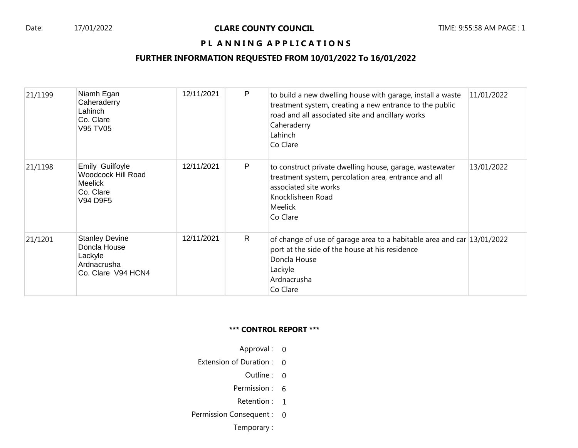#### Date: 17/01/2022 **CLARE COUNTY COUNCIL** TIME: 9:55:58 AM PAGE : 1

## PL ANNING APPLICATIONS

## **FURTHER INFORMATION REQUESTED FROM 10/01/2022 To 16/01/2022**

| 21/1199 | Niamh Egan<br>Caheraderry<br>Lahinch<br>Co. Clare<br><b>V95 TV05</b>                  | 12/11/2021 | P | to build a new dwelling house with garage, install a waste<br>treatment system, creating a new entrance to the public<br>road and all associated site and ancillary works<br>Caheraderry<br>Lahinch<br>Co Clare | 11/01/2022 |
|---------|---------------------------------------------------------------------------------------|------------|---|-----------------------------------------------------------------------------------------------------------------------------------------------------------------------------------------------------------------|------------|
| 21/1198 | Emily Guilfoyle<br>Woodcock Hill Road<br><b>Meelick</b><br>Co. Clare<br>V94 D9F5      | 12/11/2021 | P | to construct private dwelling house, garage, wastewater<br>treatment system, percolation area, entrance and all<br>associated site works<br>Knocklisheen Road<br><b>Meelick</b><br>Co Clare                     | 13/01/2022 |
| 21/1201 | <b>Stanley Devine</b><br>Doncla House<br>Lackyle<br>Ardnacrusha<br>Co. Clare V94 HCN4 | 12/11/2021 | R | of change of use of garage area to a habitable area and car 13/01/2022<br>port at the side of the house at his residence<br>Doncla House<br>Lackyle<br>Ardnacrusha<br>Co Clare                                  |            |

#### **\*\*\* CONTROL REPORT \*\*\***

- Approval : 0
- Extension of Duration : 0
	- Outline : 0
	- Permission : 6
	- Retention : 1
- Permission Consequent : 0

Temporary :